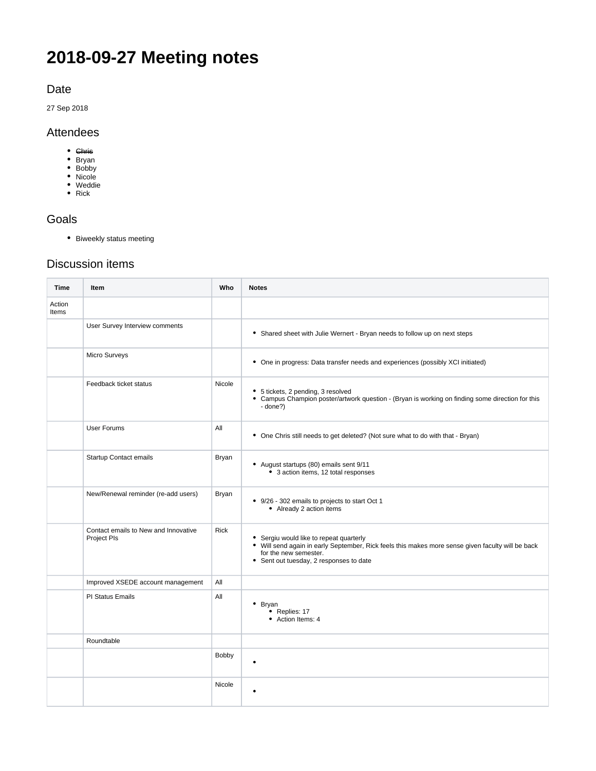# **2018-09-27 Meeting notes**

Date

27 Sep 2018

#### Attendees

- Chris
- Bryan
- Bobby Nicole
- Weddie
- Rick

### Goals

Biweekly status meeting

## Discussion items

| Time            | Item                                                | Who         | <b>Notes</b>                                                                                                                                                                                                     |
|-----------------|-----------------------------------------------------|-------------|------------------------------------------------------------------------------------------------------------------------------------------------------------------------------------------------------------------|
| Action<br>Items |                                                     |             |                                                                                                                                                                                                                  |
|                 | User Survey Interview comments                      |             | • Shared sheet with Julie Wernert - Bryan needs to follow up on next steps                                                                                                                                       |
|                 | Micro Surveys                                       |             | • One in progress: Data transfer needs and experiences (possibly XCI initiated)                                                                                                                                  |
|                 | Feedback ticket status                              | Nicole      | • 5 tickets, 2 pending, 3 resolved<br>• Campus Champion poster/artwork question - (Bryan is working on finding some direction for this<br>- done?)                                                               |
|                 | <b>User Forums</b>                                  | All         | • One Chris still needs to get deleted? (Not sure what to do with that - Bryan)                                                                                                                                  |
|                 | <b>Startup Contact emails</b>                       | Bryan       | • August startups (80) emails sent 9/11<br>• 3 action items, 12 total responses                                                                                                                                  |
|                 | New/Renewal reminder (re-add users)                 | Bryan       | • 9/26 - 302 emails to projects to start Oct 1<br>• Already 2 action items                                                                                                                                       |
|                 | Contact emails to New and Innovative<br>Project Pls | <b>Rick</b> | • Sergiu would like to repeat quarterly<br>• Will send again in early September, Rick feels this makes more sense given faculty will be back<br>for the new semester.<br>• Sent out tuesday, 2 responses to date |
|                 | Improved XSEDE account management                   | All         |                                                                                                                                                                                                                  |
|                 | PI Status Emails                                    | All         | $\bullet$ Bryan<br>• Replies: 17<br>• Action Items: 4                                                                                                                                                            |
|                 | Roundtable                                          |             |                                                                                                                                                                                                                  |
|                 |                                                     | Bobby       | ٠                                                                                                                                                                                                                |
|                 |                                                     | Nicole      |                                                                                                                                                                                                                  |